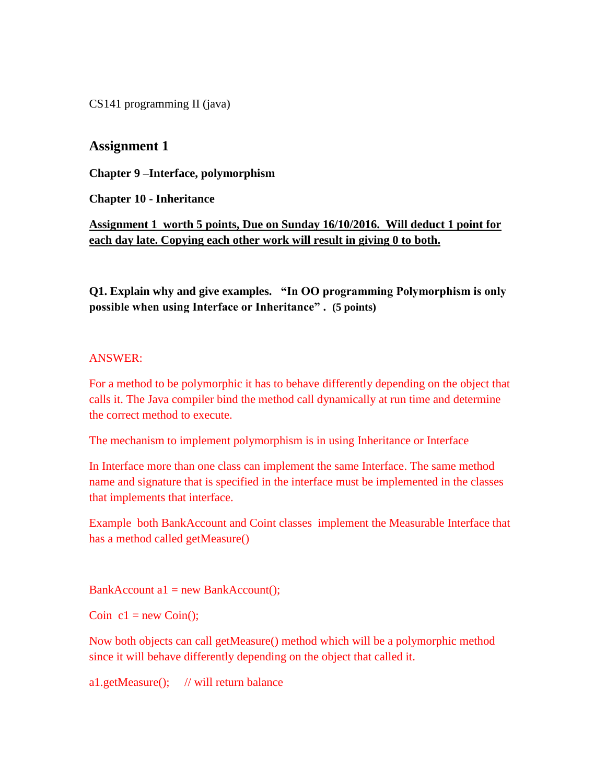CS141 programming II (java)

# **Assignment 1**

**Chapter 9 –Interface, polymorphism**

**Chapter 10 - Inheritance**

**Assignment 1 worth 5 points, Due on Sunday 16/10/2016. Will deduct 1 point for each day late. Copying each other work will result in giving 0 to both.**

**Q1. Explain why and give examples. "In OO programming Polymorphism is only possible when using Interface or Inheritance" . (5 points)**

# ANSWER:

For a method to be polymorphic it has to behave differently depending on the object that calls it. The Java compiler bind the method call dynamically at run time and determine the correct method to execute.

The mechanism to implement polymorphism is in using Inheritance or Interface

In Interface more than one class can implement the same Interface. The same method name and signature that is specified in the interface must be implemented in the classes that implements that interface.

Example both BankAccount and Coint classes implement the Measurable Interface that has a method called getMeasure()

 $BankAccount a1 = new BankAccount();$ 

Coin  $c1 = new Coin($ ;

Now both objects can call getMeasure() method which will be a polymorphic method since it will behave differently depending on the object that called it.

a1.getMeasure(); // will return balance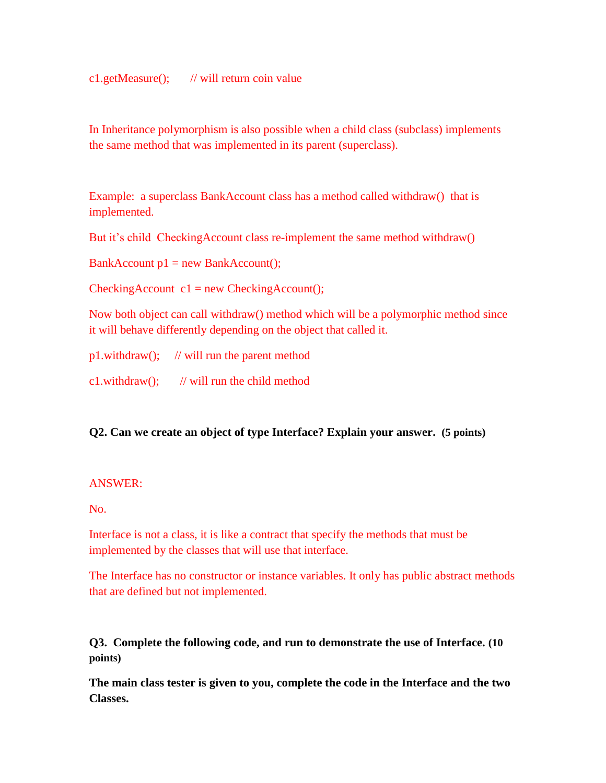c1.getMeasure(); // will return coin value

In Inheritance polymorphism is also possible when a child class (subclass) implements the same method that was implemented in its parent (superclass).

Example: a superclass BankAccount class has a method called withdraw() that is implemented.

But it's child CheckingAccount class re-implement the same method withdraw()

 $BankAccount p1 = new BankAccount();$ 

 $CheckingAccount c1 = new CheckingAccount();$ 

Now both object can call withdraw() method which will be a polymorphic method since it will behave differently depending on the object that called it.

|                       | $p1.$ withdraw $()$ ; // will run the parent method |
|-----------------------|-----------------------------------------------------|
| $c1.$ withdraw $()$ ; | // will run the child method                        |

# **Q2. Can we create an object of type Interface? Explain your answer. (5 points)**

# ANSWER:

No.

Interface is not a class, it is like a contract that specify the methods that must be implemented by the classes that will use that interface.

The Interface has no constructor or instance variables. It only has public abstract methods that are defined but not implemented.

**Q3. Complete the following code, and run to demonstrate the use of Interface. (10 points)**

**The main class tester is given to you, complete the code in the Interface and the two Classes.**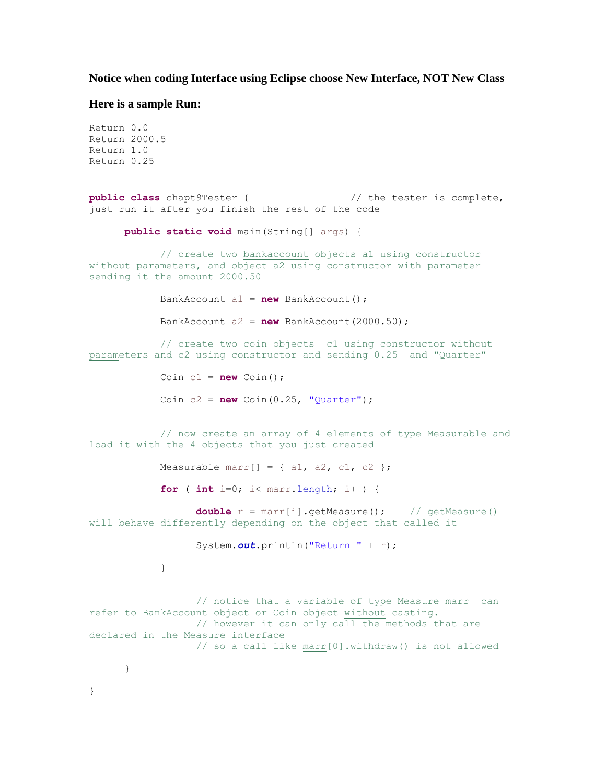#### **Notice when coding Interface using Eclipse choose New Interface, NOT New Class**

#### **Here is a sample Run:**

```
Return 0.0
Return 2000.5
Return 1.0
Return 0.25
public class chapt9Tester { // the tester is complete, 
just run it after you finish the rest of the code
     public static void main(String[] args) {
            // create two bankaccount objects a1 using constructor 
without parameters, and object a2 using constructor with parameter 
sending it the amount 2000.50
            BankAccount a1 = new BankAccount();
            BankAccount a2 = new BankAccount(2000.50);
            // create two coin objects c1 using constructor without 
parameters and c2 using constructor and sending 0.25 and "Quarter" 
           Coin cl = new Coin();
            Coin c2 = new Coin(0.25, "Quarter");// now create an array of 4 elements of type Measurable and 
load it with the 4 objects that you just created
            Measurable marr[] = { a1, a2, c1, c2 };
            for ( int i=0; i< marr.length; i++) {
                  double r = \text{marr}[i].getMeasure(); // getMeasure()
will behave differently depending on the object that called it
                  System.out.println("Return " + r);
            }
                  // notice that a variable of type Measure marr can 
refer to BankAccount object or Coin object without casting.
                 // however it can only call the methods that are 
declared in the Measure interface
                 // so a call like marr[0].withdraw() is not allowed
      }
}
```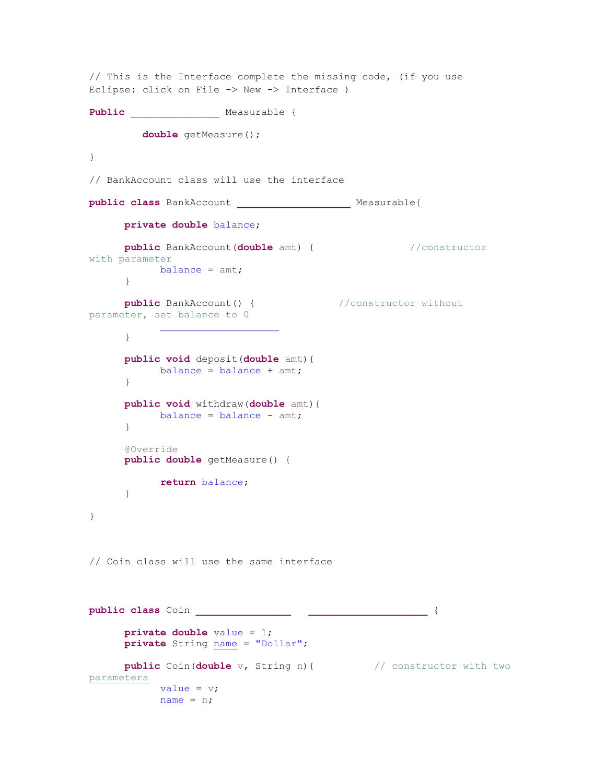```
// This is the Interface complete the missing code, (if you use
Eclipse: click on File -> New -> Interface )
Public _______________ Measurable {
         double getMeasure(); 
}
// BankAccount class will use the interface
public class BankAccount ___________________ Measurable{
     private double balance;
     public BankAccount(double amt) { //constructor 
with parameter
          balance = amt;
      }
     public BankAccount() { //constructor without
parameter, set balance to 0
      }
     public void deposit(double amt){
           balance = balance + amt;}
     public void withdraw(double amt){
          balance = balance - amt;}
      @Override
     public double getMeasure() {
           return balance;
      }
}
// Coin class will use the same interface
public class Coin ________________ ____________________ {
     private double value = 1;
     private String name = "Dollar";
     public Coin(double v, String n){ // constructor with two 
parameters
           value = v;
           name = n;
```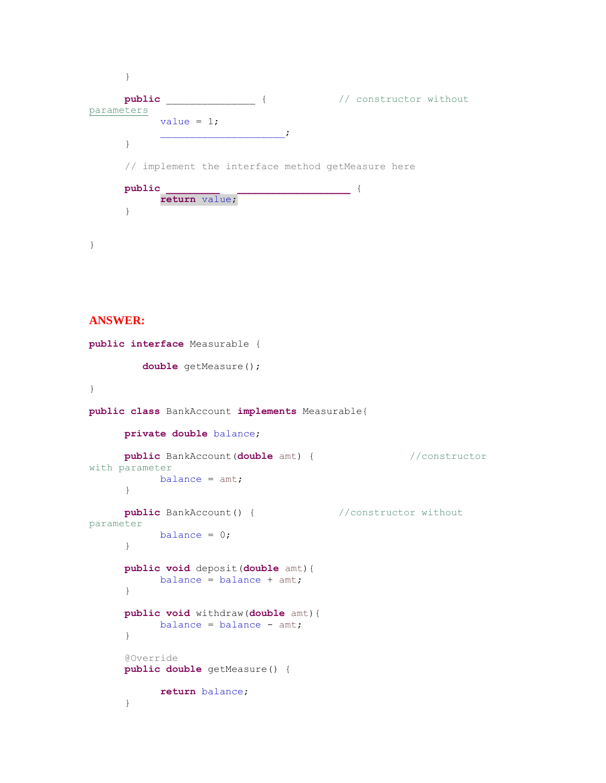```
}
     public _______________ { // constructor without 
parameters
           value = 1;
                   _____________________;
      }
     // implement the interface method getMeasure here 
     public _________ ___________________ {
           return value;
      }
}
```
### **ANSWER:**

```
public interface Measurable {
         double getMeasure(); 
}
public class BankAccount implements Measurable{
     private double balance;
     public BankAccount(double amt) { //constructor 
with parameter
          balance = amt;
      }
     public BankAccount() { //constructor without 
parameter
          balance = 0;
     }
     public void deposit(double amt){
           balance = balance + amt;}
     public void withdraw(double amt){
           balance = balance - amt;
      }
     @Override
     public double getMeasure() {
           return balance;
      }
```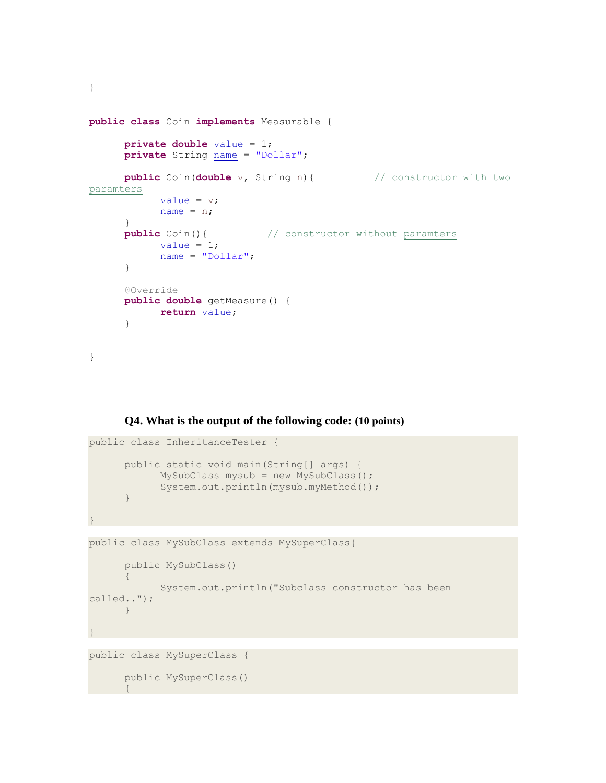```
public class Coin implements Measurable {
     private double value = 1;
     private String name = "Dollar";
     public Coin(double v, String n){ // constructor with two 
paramters
           value = v;
           name = n;}
      public Coin(){ \frac{1}{2} // constructor without paramters
           value = 1;
           name = "Dollar";
      }
      @Override
      public double getMeasure() {
           return value;
      }
}
```
**Q4. What is the output of the following code: (10 points)**

```
public class InheritanceTester {
      public static void main(String[] args) {
            MySubClass mysub = new MySubClass();
            System.out.println(mysub.myMethod());
      }
}
public class MySubClass extends MySuperClass{
      public MySubClass()
      {
           System.out.println("Subclass constructor has been 
called..");
     }
}
public class MySuperClass {
```
public MySuperClass() {

}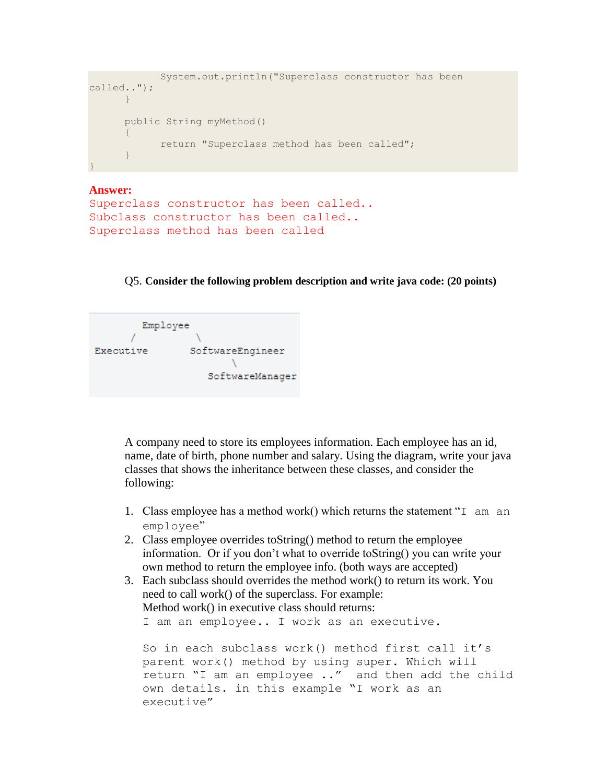```
System.out.println("Superclass constructor has been 
called..");
      }
      public String myMethod()
      {
            return "Superclass method has been called";
      }
}
```

```
Answer:
Superclass constructor has been called..
Subclass constructor has been called..
Superclass method has been called
```
Q5. **Consider the following problem description and write java code: (20 points)**

```
Employee
                 SoftwareEngineer
Executive
                     CONTRACTOR
                     SoftwareManager
```
A company need to store its employees information. Each employee has an id, name, date of birth, phone number and salary. Using the diagram, write your java classes that shows the inheritance between these classes, and consider the following:

- 1. Class employee has a method work() which returns the statement "I am an employee"
- 2. Class employee overrides toString() method to return the employee information. Or if you don't what to override toString() you can write your own method to return the employee info. (both ways are accepted)
- 3. Each subclass should overrides the method work() to return its work. You need to call work() of the superclass. For example: Method work() in executive class should returns:

I am an employee.. I work as an executive.

```
So in each subclass work() method first call it's 
parent work() method by using super. Which will 
return "I am an employee .." and then add the child 
own details. in this example "I work as an 
executive"
```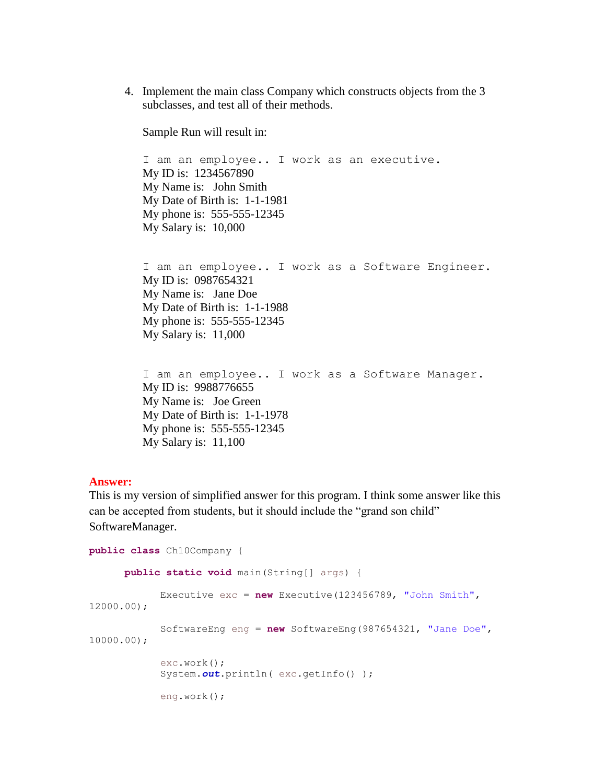4. Implement the main class Company which constructs objects from the 3 subclasses, and test all of their methods.

Sample Run will result in:

I am an employee.. I work as an executive. My ID is: 1234567890 My Name is: John Smith My Date of Birth is: 1-1-1981 My phone is: 555-555-12345 My Salary is: 10,000

I am an employee.. I work as a Software Engineer. My ID is: 0987654321 My Name is: Jane Doe My Date of Birth is: 1-1-1988 My phone is: 555-555-12345 My Salary is: 11,000

I am an employee.. I work as a Software Manager. My ID is: 9988776655 My Name is: Joe Green My Date of Birth is: 1-1-1978 My phone is: 555-555-12345 My Salary is: 11,100

#### **Answer:**

This is my version of simplified answer for this program. I think some answer like this can be accepted from students, but it should include the "grand son child" SoftwareManager.

```
public class Ch10Company {
      public static void main(String[] args) {
            Executive exc = new Executive(123456789, "John Smith", 
12000.00);
            SoftwareEng eng = new SoftwareEng(987654321, "Jane Doe", 
10000.00);
            exc.work();
            System.out.println( exc.getInfo() );
            eng.work();
```